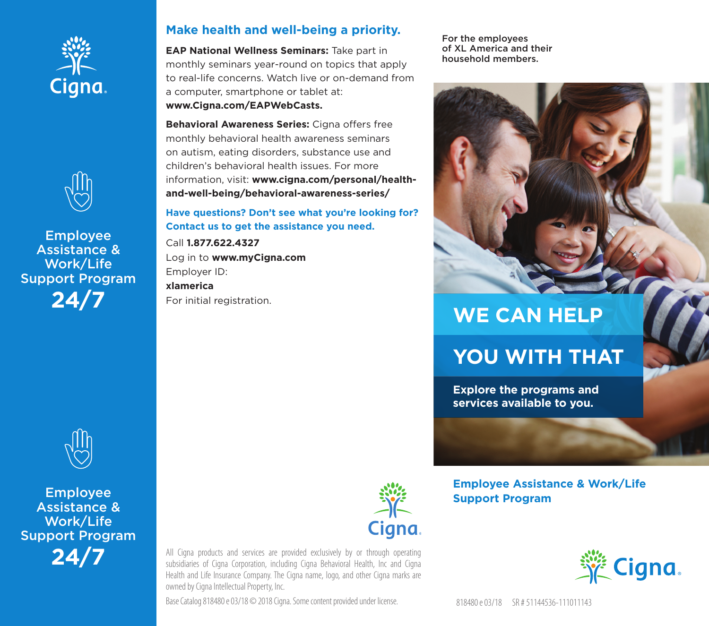



**Employee Assistance &** Work/Life **Support Program**  $24/7$ 



**Employee Assistance &** Work/Life **Support Program**  $24/7$ 

## Make health and well-being a priority.

**EAP National Wellness Seminars: Take part in** monthly seminars year-round on topics that apply to real-life concerns. Watch live or on-demand from a computer, smartphone or tablet at: www.Cigna.com/EAPWebCasts.

Behavioral Awareness Series: Cigna offers free monthly behavioral health awareness seminars on autism, eating disorders, substance use and children's behavioral health issues. For more information, visit: www.cigna.com/personal/healthand-well-being/behavioral-awareness-series/

Have questions? Don't see what you're looking for? Contact us to get the assistance you need.

Call 1.877.622.4327 Log in to www.myCigna.com Employer ID: xlamerica For initial registration.



All Cigna products and services are provided exclusively by or through operating subsidiaries of Cigna Corporation, including Cigna Behavioral Health, Inc and Cigna Health and Life Insurance Company. The Cigna name, logo, and other Cigna marks are owned by Cigna Intellectual Property, Inc.

Base Catalog 818480 e 03/18 © 2018 Cigna. Some content provided under license.

For the employees of XL America and their household members.



## **WE CAN HELP**

# **YOU WITH THAT**

**Explore the programs and** services available to you.

## **Employee Assistance & Work/Life Support Program**



818480 e 03/18 SR # 51144536-111011143